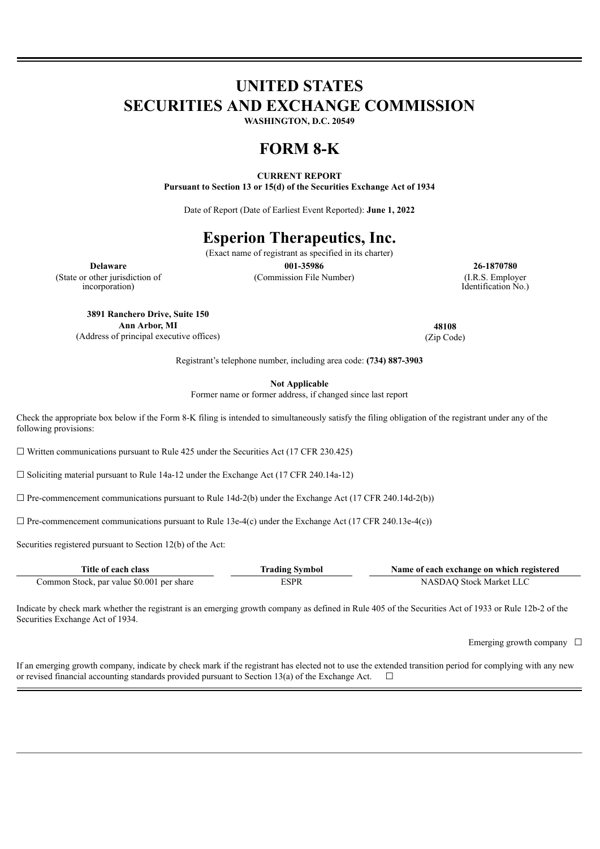# **UNITED STATES SECURITIES AND EXCHANGE COMMISSION**

**WASHINGTON, D.C. 20549**

# **FORM 8-K**

## **CURRENT REPORT**

**Pursuant to Section 13 or 15(d) of the Securities Exchange Act of 1934**

Date of Report (Date of Earliest Event Reported): **June 1, 2022**

# **Esperion Therapeutics, Inc.**

(Exact name of registrant as specified in its charter)

(State or other jurisdiction of incorporation)

(Commission File Number) (I.R.S. Employer

**Delaware 001-35986 26-1870780** Identification No.)

**3891 Ranchero Drive, Suite 150 Ann Arbor, MI** (Address of principal executive offices)

**48108** (Zip Code)

Registrant's telephone number, including area code: **(734) 887-3903**

**Not Applicable**

Former name or former address, if changed since last report

Check the appropriate box below if the Form 8-K filing is intended to simultaneously satisfy the filing obligation of the registrant under any of the following provisions:

 $\Box$  Written communications pursuant to Rule 425 under the Securities Act (17 CFR 230.425)

 $\Box$  Soliciting material pursuant to Rule 14a-12 under the Exchange Act (17 CFR 240.14a-12)

 $\Box$  Pre-commencement communications pursuant to Rule 14d-2(b) under the Exchange Act (17 CFR 240.14d-2(b))

 $\Box$  Pre-commencement communications pursuant to Rule 13e-4(c) under the Exchange Act (17 CFR 240.13e-4(c))

Securities registered pursuant to Section 12(b) of the Act:

| Title of each class                       | <b>Trading Symbol</b> | Name of each exchange on which registered |
|-------------------------------------------|-----------------------|-------------------------------------------|
| Common Stock, par value \$0.001 per share | ESPR                  | NASDAO Stock Market LLC                   |

Indicate by check mark whether the registrant is an emerging growth company as defined in Rule 405 of the Securities Act of 1933 or Rule 12b-2 of the Securities Exchange Act of 1934.

Emerging growth company  $\Box$ 

If an emerging growth company, indicate by check mark if the registrant has elected not to use the extended transition period for complying with any new or revised financial accounting standards provided pursuant to Section 13(a) of the Exchange Act.  $\Box$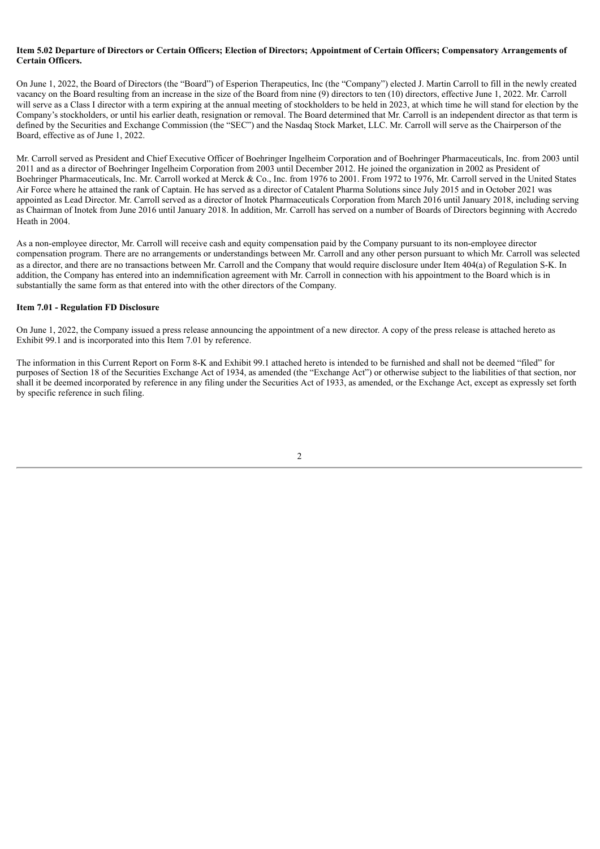#### Item 5.02 Departure of Directors or Certain Officers; Election of Directors; Appointment of Certain Officers; Compensatory Arrangements of **Certain Officers.**

On June 1, 2022, the Board of Directors (the "Board") of Esperion Therapeutics, Inc (the "Company") elected J. Martin Carroll to fill in the newly created vacancy on the Board resulting from an increase in the size of the Board from nine (9) directors to ten (10) directors, effective June 1, 2022. Mr. Carroll will serve as a Class I director with a term expiring at the annual meeting of stockholders to be held in 2023, at which time he will stand for election by the Company's stockholders, or until his earlier death, resignation or removal. The Board determined that Mr. Carroll is an independent director as that term is defined by the Securities and Exchange Commission (the "SEC") and the Nasdaq Stock Market, LLC. Mr. Carroll will serve as the Chairperson of the Board, effective as of June 1, 2022.

Mr. Carroll served as President and Chief Executive Officer of Boehringer Ingelheim Corporation and of Boehringer Pharmaceuticals, Inc. from 2003 until 2011 and as a director of Boehringer Ingelheim Corporation from 2003 until December 2012. He joined the organization in 2002 as President of Boehringer Pharmaceuticals, Inc. Mr. Carroll worked at Merck & Co., Inc. from 1976 to 2001. From 1972 to 1976, Mr. Carroll served in the United States Air Force where he attained the rank of Captain. He has served as a director of Catalent Pharma Solutions since July 2015 and in October 2021 was appointed as Lead Director. Mr. Carroll served as a director of Inotek Pharmaceuticals Corporation from March 2016 until January 2018, including serving as Chairman of Inotek from June 2016 until January 2018. In addition, Mr. Carroll has served on a number of Boards of Directors beginning with Accredo Heath in 2004.

As a non-employee director, Mr. Carroll will receive cash and equity compensation paid by the Company pursuant to its non-employee director compensation program. There are no arrangements or understandings between Mr. Carroll and any other person pursuant to which Mr. Carroll was selected as a director, and there are no transactions between Mr. Carroll and the Company that would require disclosure under Item 404(a) of Regulation S-K. In addition, the Company has entered into an indemnification agreement with Mr. Carroll in connection with his appointment to the Board which is in substantially the same form as that entered into with the other directors of the Company.

#### **Item 7.01 - Regulation FD Disclosure**

On June 1, 2022, the Company issued a press release announcing the appointment of a new director. A copy of the press release is attached hereto as Exhibit 99.1 and is incorporated into this Item 7.01 by reference.

The information in this Current Report on Form 8-K and Exhibit 99.1 attached hereto is intended to be furnished and shall not be deemed "filed" for purposes of Section 18 of the Securities Exchange Act of 1934, as amended (the "Exchange Act") or otherwise subject to the liabilities of that section, nor shall it be deemed incorporated by reference in any filing under the Securities Act of 1933, as amended, or the Exchange Act, except as expressly set forth by specific reference in such filing.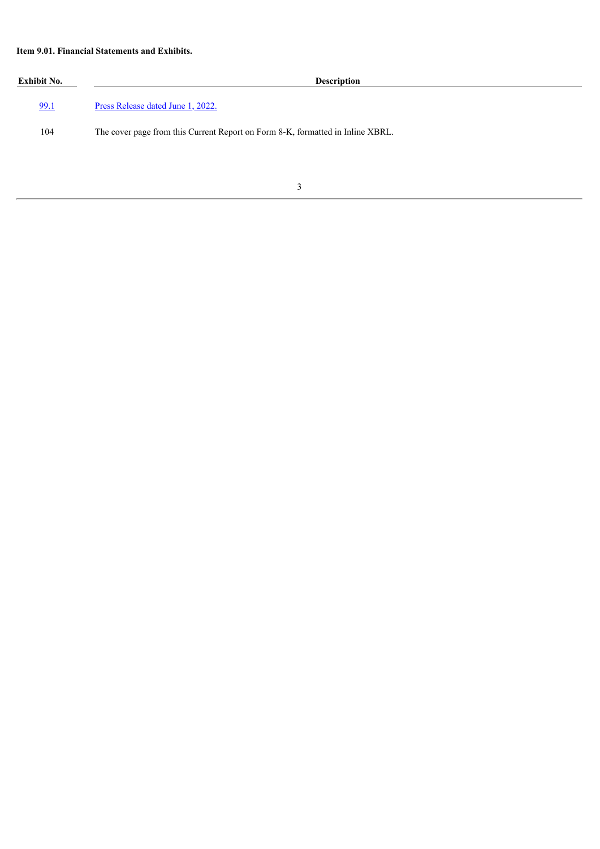# **Item 9.01. Financial Statements and Exhibits.**

| Exhibit No. | <b>Description</b>                                                             |  |
|-------------|--------------------------------------------------------------------------------|--|
| 99.1        | Press Release dated June 1, 2022.                                              |  |
| 104         | The cover page from this Current Report on Form 8-K, formatted in Inline XBRL. |  |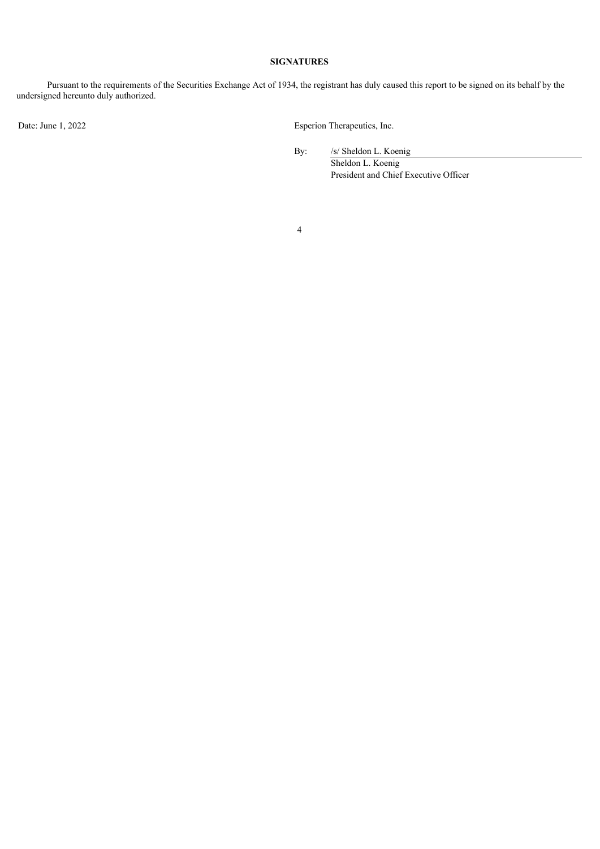## **SIGNATURES**

Pursuant to the requirements of the Securities Exchange Act of 1934, the registrant has duly caused this report to be signed on its behalf by the undersigned hereunto duly authorized.

Date: June 1, 2022 Esperion Therapeutics, Inc.

By: /s/ Sheldon L. Koenig

Sheldon L. Koenig President and Chief Executive Officer

4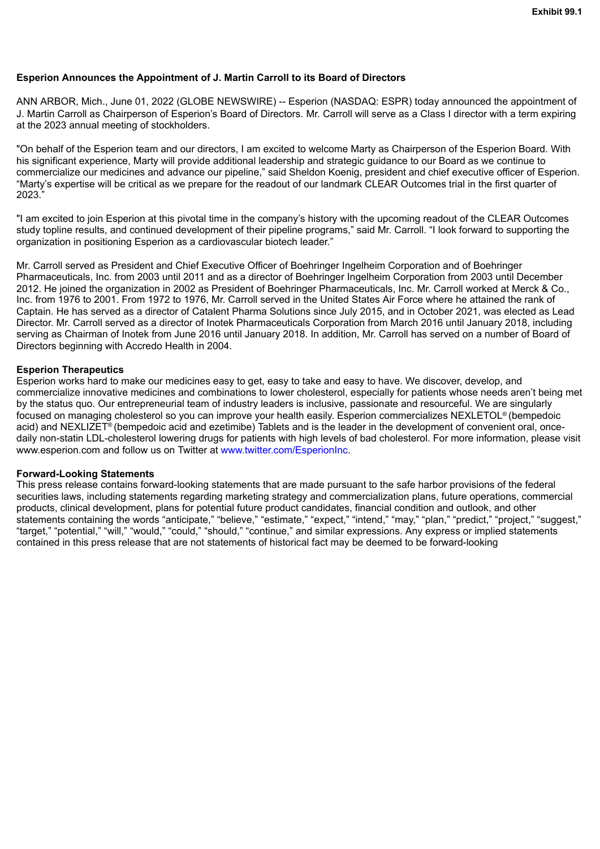# <span id="page-4-0"></span>**Esperion Announces the Appointment of J. Martin Carroll to its Board of Directors**

ANN ARBOR, Mich., June 01, 2022 (GLOBE NEWSWIRE) -- Esperion (NASDAQ: ESPR) today announced the appointment of J. Martin Carroll as Chairperson of Esperion's Board of Directors. Mr. Carroll will serve as a Class I director with a term expiring at the 2023 annual meeting of stockholders.

"On behalf of the Esperion team and our directors, I am excited to welcome Marty as Chairperson of the Esperion Board. With his significant experience, Marty will provide additional leadership and strategic guidance to our Board as we continue to commercialize our medicines and advance our pipeline," said Sheldon Koenig, president and chief executive officer of Esperion. "Marty's expertise will be critical as we prepare for the readout of our landmark CLEAR Outcomes trial in the first quarter of 2023."

"I am excited to join Esperion at this pivotal time in the company's history with the upcoming readout of the CLEAR Outcomes study topline results, and continued development of their pipeline programs," said Mr. Carroll. "I look forward to supporting the organization in positioning Esperion as a cardiovascular biotech leader."

Mr. Carroll served as President and Chief Executive Officer of Boehringer Ingelheim Corporation and of Boehringer Pharmaceuticals, Inc. from 2003 until 2011 and as a director of Boehringer Ingelheim Corporation from 2003 until December 2012. He joined the organization in 2002 as President of Boehringer Pharmaceuticals, Inc. Mr. Carroll worked at Merck & Co., Inc. from 1976 to 2001. From 1972 to 1976, Mr. Carroll served in the United States Air Force where he attained the rank of Captain. He has served as a director of Catalent Pharma Solutions since July 2015, and in October 2021, was elected as Lead Director. Mr. Carroll served as a director of Inotek Pharmaceuticals Corporation from March 2016 until January 2018, including serving as Chairman of Inotek from June 2016 until January 2018. In addition, Mr. Carroll has served on a number of Board of Directors beginning with Accredo Health in 2004.

### **Esperion Therapeutics**

Esperion works hard to make our medicines easy to get, easy to take and easy to have. We discover, develop, and commercialize innovative medicines and combinations to lower cholesterol, especially for patients whose needs aren't being met by the status quo. Our entrepreneurial team of industry leaders is inclusive, passionate and resourceful. We are singularly focused on managing cholesterol so you can improve your health easily. Esperion commercializes NEXLETOL® (bempedoic acid) and NEXLIZET<sup>®</sup> (bempedoic acid and ezetimibe) Tablets and is the leader in the development of convenient oral, oncedaily non-statin LDL-cholesterol lowering drugs for patients with high levels of bad cholesterol. For more information, please visit www.esperion.com and follow us on Twitter at www.twitter.com/EsperionInc.

### **Forward-Looking Statements**

This press release contains forward-looking statements that are made pursuant to the safe harbor provisions of the federal securities laws, including statements regarding marketing strategy and commercialization plans, future operations, commercial products, clinical development, plans for potential future product candidates, financial condition and outlook, and other statements containing the words "anticipate," "believe," "estimate," "expect," "intend," "may," "plan," "predict," "project," "suggest," "target," "potential," "will," "would," "could," "should," "continue," and similar expressions. Any express or implied statements contained in this press release that are not statements of historical fact may be deemed to be forward-looking